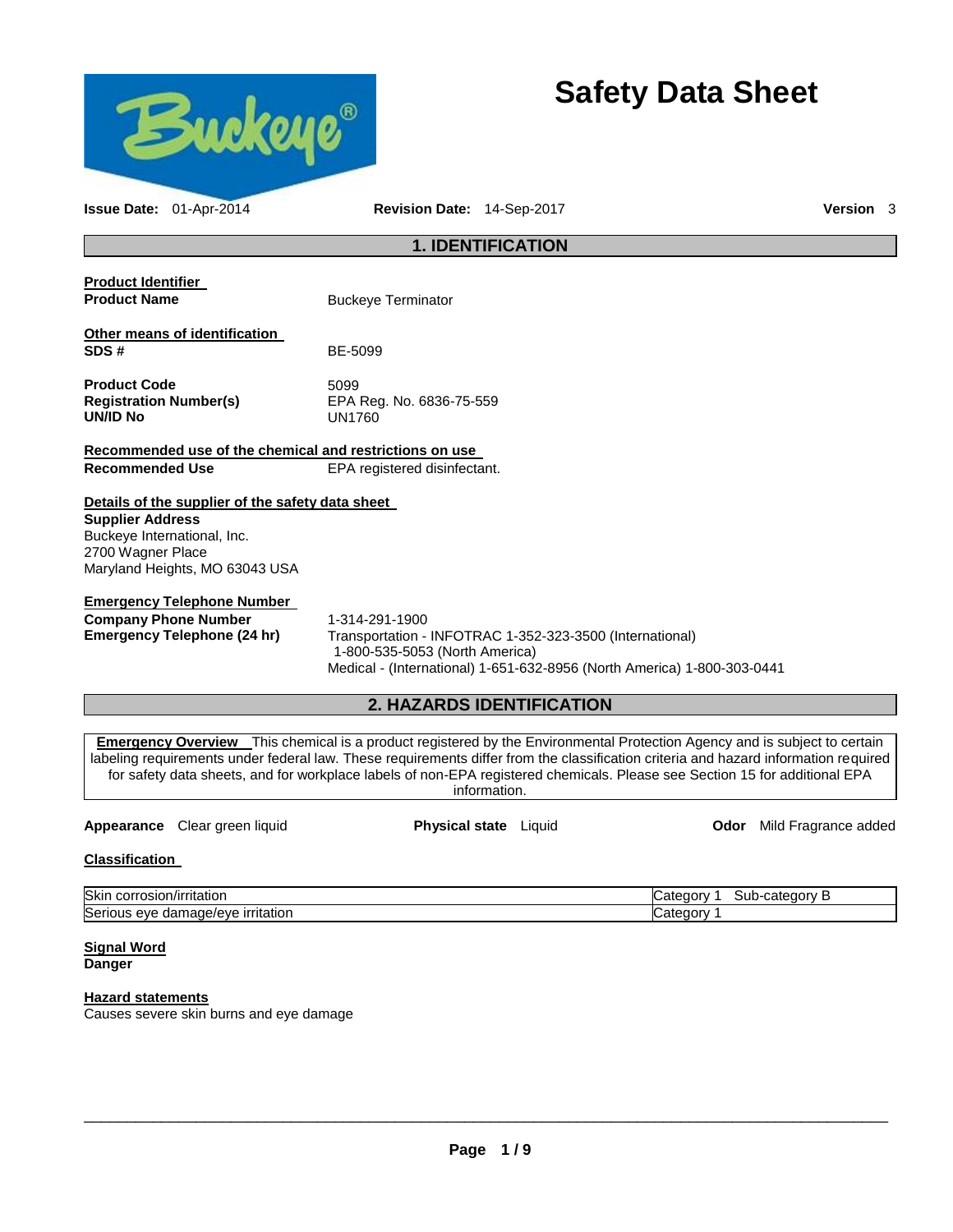

# **Safety Data Sheet**

| Issue Date: 01-Apr-2014                                                                                                                                           |  | Revision Date: 14-Sep-2017                        |                                                                                                                                     | Version 3                                                                                                                                                                                                                                                                                                                                                                                             |
|-------------------------------------------------------------------------------------------------------------------------------------------------------------------|--|---------------------------------------------------|-------------------------------------------------------------------------------------------------------------------------------------|-------------------------------------------------------------------------------------------------------------------------------------------------------------------------------------------------------------------------------------------------------------------------------------------------------------------------------------------------------------------------------------------------------|
| <b>1. IDENTIFICATION</b>                                                                                                                                          |  |                                                   |                                                                                                                                     |                                                                                                                                                                                                                                                                                                                                                                                                       |
| <b>Product Identifier</b><br><b>Product Name</b>                                                                                                                  |  | <b>Buckeye Terminator</b>                         |                                                                                                                                     |                                                                                                                                                                                                                                                                                                                                                                                                       |
| Other means of identification<br>SDS#                                                                                                                             |  | BE-5099                                           |                                                                                                                                     |                                                                                                                                                                                                                                                                                                                                                                                                       |
| <b>Product Code</b><br><b>Registration Number(s)</b><br><b>UN/ID No</b>                                                                                           |  | 5099<br>EPA Reg. No. 6836-75-559<br><b>UN1760</b> |                                                                                                                                     |                                                                                                                                                                                                                                                                                                                                                                                                       |
| Recommended use of the chemical and restrictions on use                                                                                                           |  |                                                   |                                                                                                                                     |                                                                                                                                                                                                                                                                                                                                                                                                       |
| <b>Recommended Use</b>                                                                                                                                            |  | EPA registered disinfectant.                      |                                                                                                                                     |                                                                                                                                                                                                                                                                                                                                                                                                       |
| Details of the supplier of the safety data sheet<br><b>Supplier Address</b><br>Buckeye International, Inc.<br>2700 Wagner Place<br>Maryland Heights, MO 63043 USA |  |                                                   |                                                                                                                                     |                                                                                                                                                                                                                                                                                                                                                                                                       |
| <b>Emergency Telephone Number</b>                                                                                                                                 |  |                                                   |                                                                                                                                     |                                                                                                                                                                                                                                                                                                                                                                                                       |
| <b>Company Phone Number</b><br><b>Emergency Telephone (24 hr)</b>                                                                                                 |  | 1-314-291-1900<br>1-800-535-5053 (North America)  | Transportation - INFOTRAC 1-352-323-3500 (International)<br>Medical - (International) 1-651-632-8956 (North America) 1-800-303-0441 |                                                                                                                                                                                                                                                                                                                                                                                                       |
|                                                                                                                                                                   |  |                                                   | 2. HAZARDS IDENTIFICATION                                                                                                           |                                                                                                                                                                                                                                                                                                                                                                                                       |
|                                                                                                                                                                   |  |                                                   |                                                                                                                                     |                                                                                                                                                                                                                                                                                                                                                                                                       |
|                                                                                                                                                                   |  |                                                   | information.                                                                                                                        | <b>Emergency Overview</b> This chemical is a product registered by the Environmental Protection Agency and is subject to certain<br>labeling requirements under federal law. These requirements differ from the classification criteria and hazard information required<br>for safety data sheets, and for workplace labels of non-EPA registered chemicals. Please see Section 15 for additional EPA |

### **Appearance** Clear green liquid **Physical state** Liquid **Odor** Mild Fragrance added

## **Classification**

| <b>Skir</b><br>πτατιοι<br>usiu                                 | רו∩רי<br>v<br>117. .<br>oui |
|----------------------------------------------------------------|-----------------------------|
| <b>Ser</b><br><u>irritation</u><br>120e/eve<br>ے رہ<br><br>ाता |                             |

#### **Signal Word Danger**

# **Hazard statements**

Causes severe skin burns and eye damage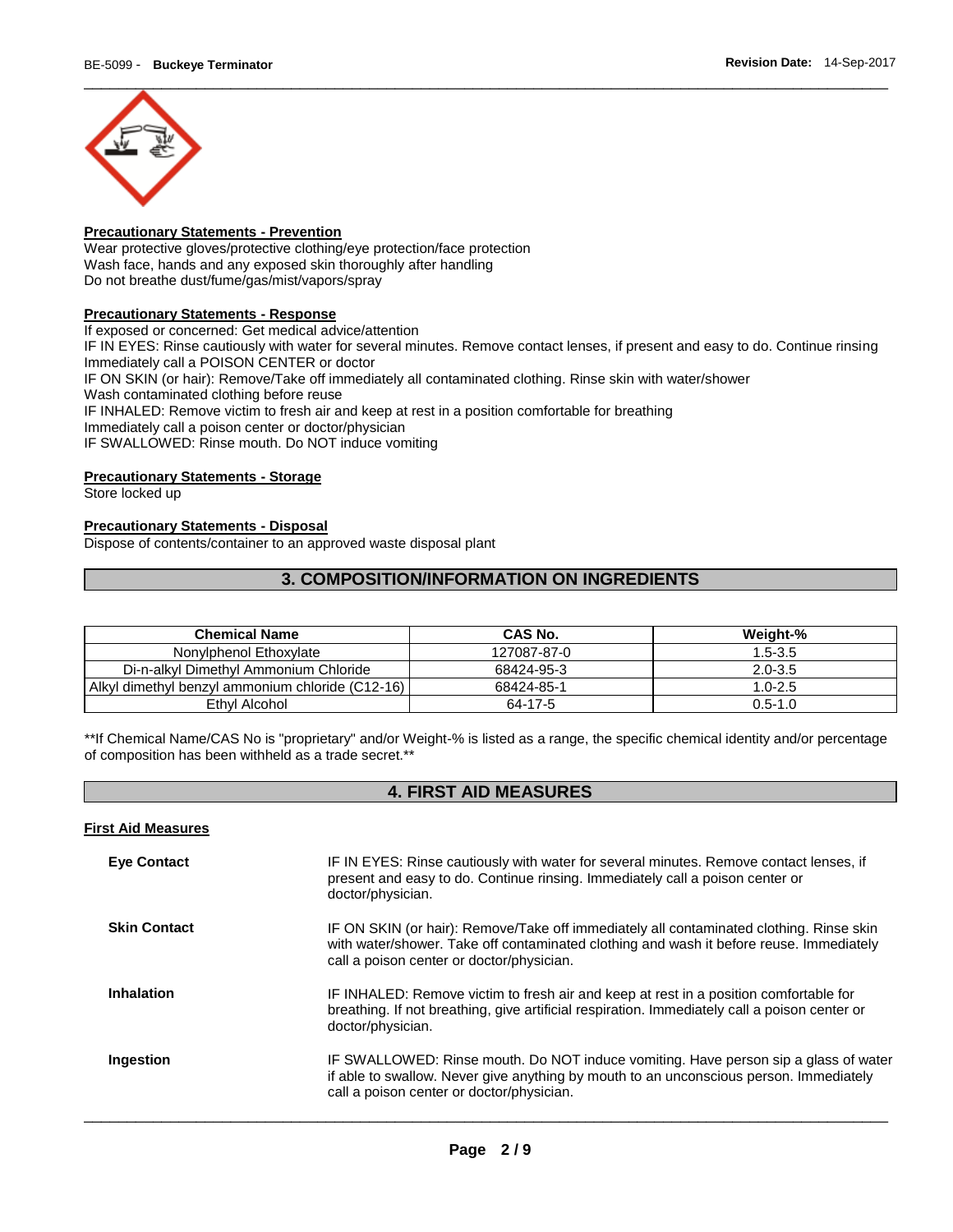

# **Precautionary Statements - Prevention**

Wear protective gloves/protective clothing/eye protection/face protection Wash face, hands and any exposed skin thoroughly after handling Do not breathe dust/fume/gas/mist/vapors/spray

#### **Precautionary Statements - Response**

If exposed or concerned: Get medical advice/attention IF IN EYES: Rinse cautiously with water for several minutes. Remove contact lenses, if present and easy to do. Continue rinsing Immediately call a POISON CENTER or doctor IF ON SKIN (or hair): Remove/Take off immediately all contaminated clothing. Rinse skin with water/shower Wash contaminated clothing before reuse IF INHALED: Remove victim to fresh air and keep at rest in a position comfortable for breathing Immediately call a poison center or doctor/physician IF SWALLOWED: Rinse mouth. Do NOT induce vomiting

### **Precautionary Statements - Storage**

Store locked up

### **Precautionary Statements - Disposal**

Dispose of contents/container to an approved waste disposal plant

# **3. COMPOSITION/INFORMATION ON INGREDIENTS**

| <b>Chemical Name</b>                             | <b>CAS No.</b> | Weight-%    |
|--------------------------------------------------|----------------|-------------|
| Nonylphenol Ethoxylate                           | 127087-87-0    | $1.5 - 3.5$ |
| Di-n-alkyl Dimethyl Ammonium Chloride            | 68424-95-3     | $2.0 - 3.5$ |
| Alkyl dimethyl benzyl ammonium chloride (C12-16) | 68424-85-1     | $1.0 - 2.5$ |
| Ethyl Alcohol                                    | 64-17-5        | $0.5 - 1.0$ |

\*\*If Chemical Name/CAS No is "proprietary" and/or Weight-% is listed as a range, the specific chemical identity and/or percentage of composition has been withheld as a trade secret.\*\*

# **4. FIRST AID MEASURES**

|  | <b>First Aid Measures</b> |
|--|---------------------------|
|  |                           |

| <b>Eve Contact</b>  | IF IN EYES: Rinse cautiously with water for several minutes. Remove contact lenses, if<br>present and easy to do. Continue rinsing. Immediately call a poison center or<br>doctor/physician.                                    |
|---------------------|---------------------------------------------------------------------------------------------------------------------------------------------------------------------------------------------------------------------------------|
| <b>Skin Contact</b> | IF ON SKIN (or hair): Remove/Take off immediately all contaminated clothing. Rinse skin<br>with water/shower. Take off contaminated clothing and wash it before reuse. Immediately<br>call a poison center or doctor/physician. |
| <b>Inhalation</b>   | IF INHALED: Remove victim to fresh air and keep at rest in a position comfortable for<br>breathing. If not breathing, give artificial respiration. Immediately call a poison center or<br>doctor/physician.                     |
| Ingestion           | IF SWALLOWED: Rinse mouth. Do NOT induce vomiting. Have person sip a glass of water<br>if able to swallow. Never give anything by mouth to an unconscious person. Immediately<br>call a poison center or doctor/physician.      |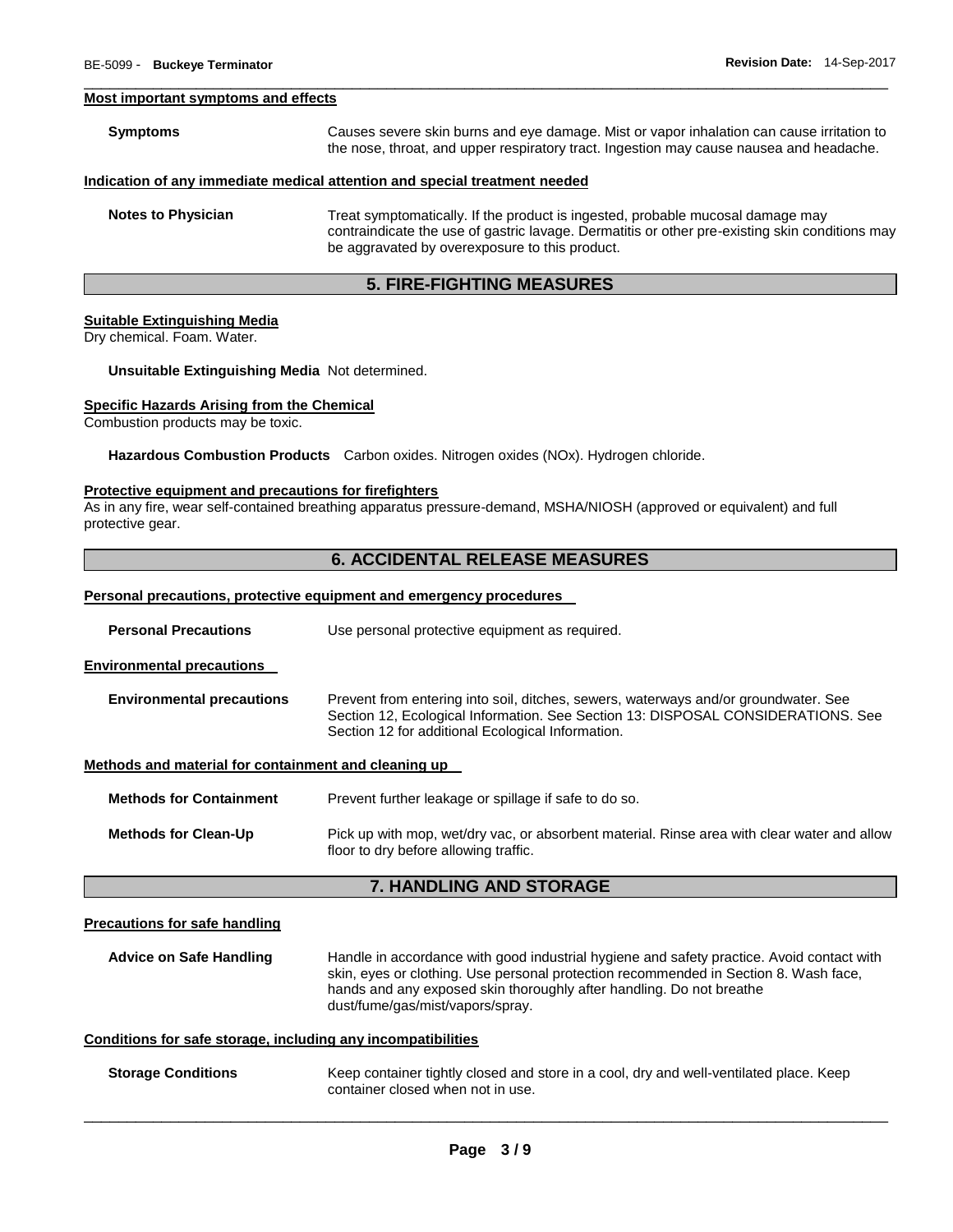#### **Most important symptoms and effects**

| <b>Symptoms</b>           | Causes severe skin burns and eye damage. Mist or vapor inhalation can cause irritation to<br>the nose, throat, and upper respiratory tract. Ingestion may cause nausea and headache.                                               |
|---------------------------|------------------------------------------------------------------------------------------------------------------------------------------------------------------------------------------------------------------------------------|
|                           | Indication of any immediate medical attention and special treatment needed                                                                                                                                                         |
| <b>Notes to Physician</b> | Treat symptomatically. If the product is ingested, probable mucosal damage may<br>contraindicate the use of gastric lavage. Dermatitis or other pre-existing skin conditions may<br>be aggravated by overexposure to this product. |

\_\_\_\_\_\_\_\_\_\_\_\_\_\_\_\_\_\_\_\_\_\_\_\_\_\_\_\_\_\_\_\_\_\_\_\_\_\_\_\_\_\_\_\_\_\_\_\_\_\_\_\_\_\_\_\_\_\_\_\_\_\_\_\_\_\_\_\_\_\_\_\_\_\_\_\_\_\_\_\_\_\_\_\_\_\_\_\_\_\_\_\_\_

### **5. FIRE-FIGHTING MEASURES**

#### **Suitable Extinguishing Media**

Dry chemical. Foam. Water.

**Unsuitable Extinguishing Media** Not determined.

#### **Specific Hazards Arising from the Chemical**

Combustion products may be toxic.

**Hazardous Combustion Products** Carbon oxides. Nitrogen oxides (NOx). Hydrogen chloride.

#### **Protective equipment and precautions for firefighters**

As in any fire, wear self-contained breathing apparatus pressure-demand, MSHA/NIOSH (approved or equivalent) and full protective gear.

# **6. ACCIDENTAL RELEASE MEASURES**

# **Personal precautions, protective equipment and emergency procedures**

| <b>Personal Precautions</b> | Use personal protective equipment as required. |
|-----------------------------|------------------------------------------------|
|-----------------------------|------------------------------------------------|

**Environmental precautions** 

| <b>Environmental precautions</b> | Prevent from entering into soil, ditches, sewers, waterways and/or groundwater. See |
|----------------------------------|-------------------------------------------------------------------------------------|
|                                  | Section 12, Ecological Information. See Section 13: DISPOSAL CONSIDERATIONS. See    |
|                                  | Section 12 for additional Ecological Information.                                   |

#### **Methods and material for containment and cleaning up**

| <b>Methods for Containment</b> | Prevent further leakage or spillage if safe to do so.                                                                                |
|--------------------------------|--------------------------------------------------------------------------------------------------------------------------------------|
| <b>Methods for Clean-Up</b>    | Pick up with mop, wet/dry vac, or absorbent material. Rinse area with clear water and allow<br>floor to dry before allowing traffic. |

# **7. HANDLING AND STORAGE**

#### **Precautions for safe handling**

**Advice on Safe Handling** Handle in accordance with good industrial hygiene and safety practice. Avoid contact with skin, eyes or clothing. Use personal protection recommended in Section 8. Wash face, hands and any exposed skin thoroughly after handling. Do not breathe dust/fume/gas/mist/vapors/spray.

#### **Conditions for safe storage, including any incompatibilities**

**Storage Conditions** Keep container tightly closed and store in a cool, dry and well-ventilated place. Keep container closed when not in use.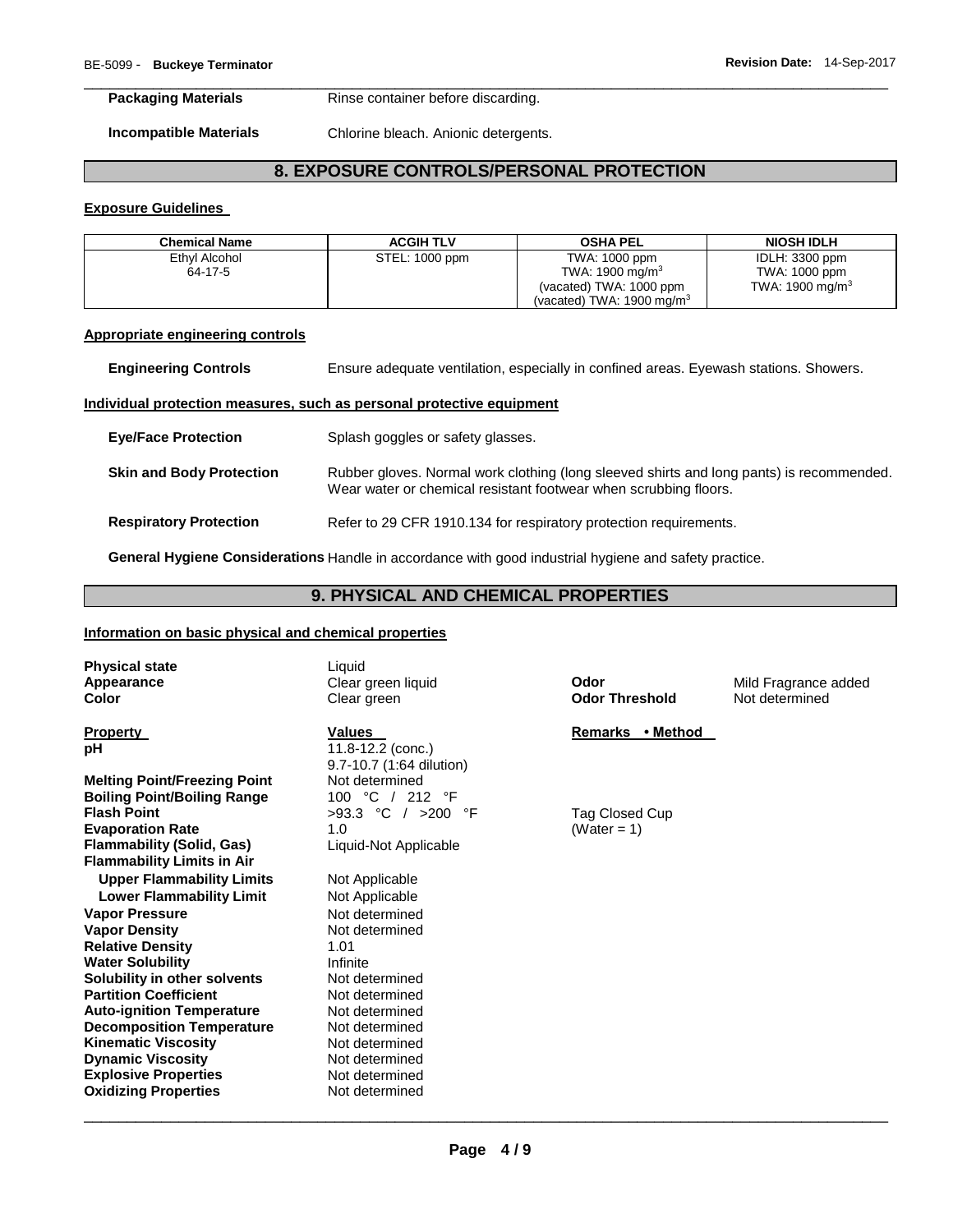**Packaging Materials Rinse container before discarding.** 

**Incompatible Materials** Chlorine bleach. Anionic detergents.

# **8. EXPOSURE CONTROLS/PERSONAL PROTECTION**

\_\_\_\_\_\_\_\_\_\_\_\_\_\_\_\_\_\_\_\_\_\_\_\_\_\_\_\_\_\_\_\_\_\_\_\_\_\_\_\_\_\_\_\_\_\_\_\_\_\_\_\_\_\_\_\_\_\_\_\_\_\_\_\_\_\_\_\_\_\_\_\_\_\_\_\_\_\_\_\_\_\_\_\_\_\_\_\_\_\_\_\_\_

#### **Exposure Guidelines**

| <b>Chemical Name</b> | <b>ACGIH TLV</b> | <b>OSHA PEL</b>                      | <b>NIOSH IDLH</b>  |
|----------------------|------------------|--------------------------------------|--------------------|
| Ethyl Alcohol        | STEL: 1000 ppm   | TWA: 1000 ppm                        | IDLH: 3300 ppm     |
| 64-17-5              |                  | TWA: 1900 mg/m $3$                   | TWA: 1000 ppm      |
|                      |                  | (vacated) TWA: 1000 ppm              | TWA: 1900 mg/m $3$ |
|                      |                  | (vacated) TWA: $1900 \text{ mg/m}^3$ |                    |

#### **Appropriate engineering controls**

**Engineering Controls** Ensure adequate ventilation, especially in confined areas. Eyewash stations. Showers.

#### **Individual protection measures, such as personal protective equipment**

| <b>Eye/Face Protection</b>      | Splash goggles or safety glasses.                                                                                                                            |
|---------------------------------|--------------------------------------------------------------------------------------------------------------------------------------------------------------|
| <b>Skin and Body Protection</b> | Rubber gloves. Normal work clothing (long sleeved shirts and long pants) is recommended.<br>Wear water or chemical resistant footwear when scrubbing floors. |
| <b>Respiratory Protection</b>   | Refer to 29 CFR 1910.134 for respiratory protection requirements.                                                                                            |

**General Hygiene Considerations** Handle in accordance with good industrial hygiene and safety practice.

# **9. PHYSICAL AND CHEMICAL PROPERTIES**

#### **Information on basic physical and chemical properties**

**Physical state** Liquid

**Melting Point/Freezing Point Weltermined Boiling Point/Boiling Range** 100 °C / 212 °F **Flash Point COLOGY Provide Example 2018 • COLOGY F** Tag Closed Cup **Evaporation Rate 1.0** (Water = 1) **Flammability (Solid, Gas)** Liquid-Not Applicable **Flammability Limits in Air Upper Flammability Limits** Not Applicable Lower Flammability Limit **Not Applicable Vapor Pressure Not determined Vapor Density Not determined Relative Density** 1.01 **Water Solubility <b>Infilter Solubility**<br> **Solubility in other solvents** Not determined **Solubility in other solvents Not determined**<br> **Partition Coefficient Not determined Partition Coefficient Not determined**<br> **Auto-ignition Temperature** Not determined **Auto-ignition Temperature 61 Mot determined <br>
<b>Decomposition Temperature** Mot determined **Decomposition Temperature Kinematic Viscosity Not determined Dynamic Viscosity Not determined Explosive Properties** Not determined **Oxidizing Properties Not determined** 

**Property Values Values Remarks** • Method **Remarks** • Method **pH** 11.8-12.2 (conc.) 9.7-10.7 (1:64 dilution)

**Color Clear green Clear green Odor Threshold** Not determined

**Appearance** Clear green liquid **Odor** Mild Fragrance added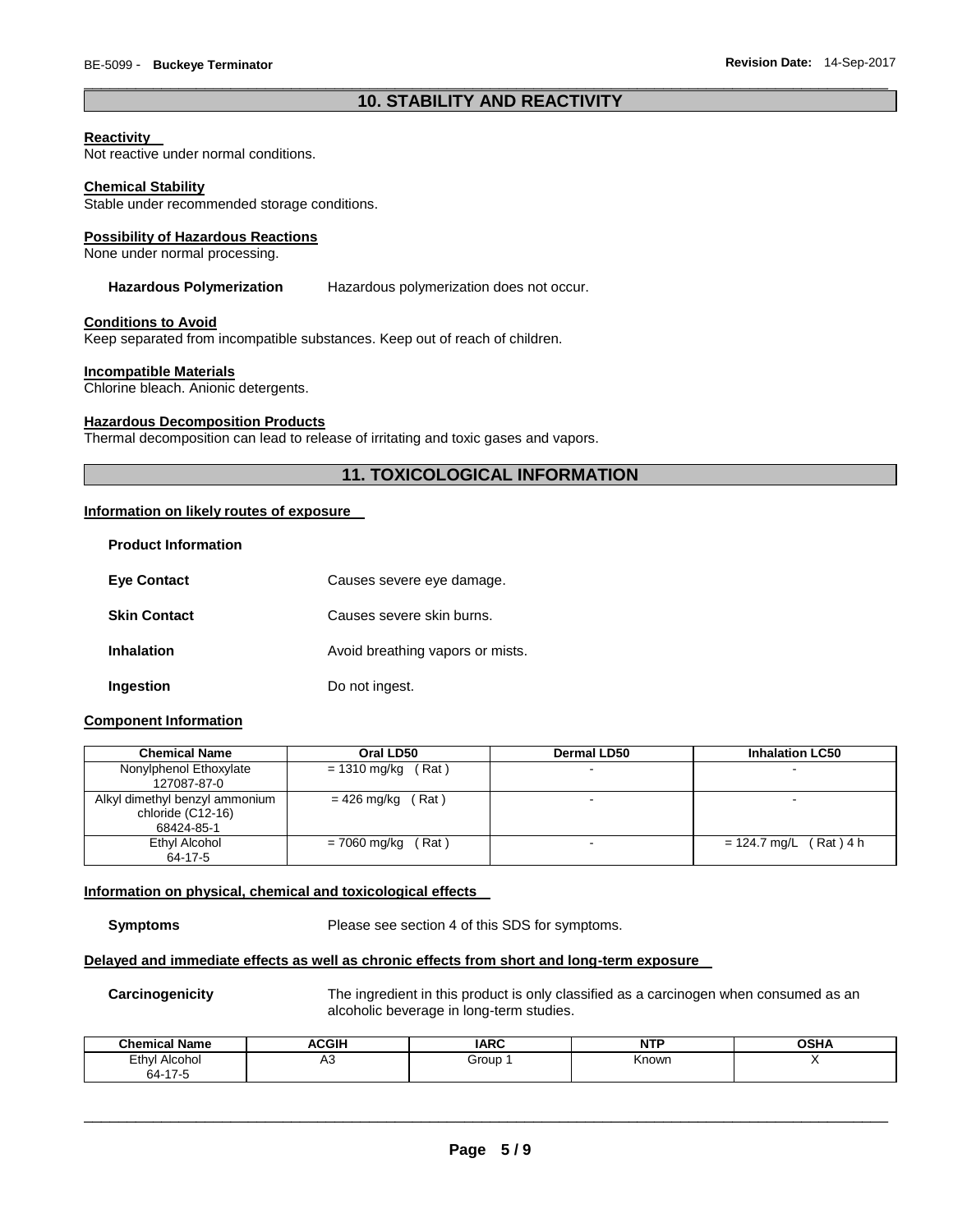# \_\_\_\_\_\_\_\_\_\_\_\_\_\_\_\_\_\_\_\_\_\_\_\_\_\_\_\_\_\_\_\_\_\_\_\_\_\_\_\_\_\_\_\_\_\_\_\_\_\_\_\_\_\_\_\_\_\_\_\_\_\_\_\_\_\_\_\_\_\_\_\_\_\_\_\_\_\_\_\_\_\_\_\_\_\_\_\_\_\_\_\_\_ **10. STABILITY AND REACTIVITY**

#### **Reactivity**

Not reactive under normal conditions.

#### **Chemical Stability**

Stable under recommended storage conditions.

#### **Possibility of Hazardous Reactions**

None under normal processing.

#### **Hazardous Polymerization** Hazardous polymerization does not occur.

#### **Conditions to Avoid**

Keep separated from incompatible substances. Keep out of reach of children.

#### **Incompatible Materials**

Chlorine bleach. Anionic detergents.

#### **Hazardous Decomposition Products**

Thermal decomposition can lead to release of irritating and toxic gases and vapors.

# **11. TOXICOLOGICAL INFORMATION**

#### **Information on likely routes of exposure**

| <b>Product Information</b> |                                  |
|----------------------------|----------------------------------|
| <b>Eve Contact</b>         | Causes severe eye damage.        |
| <b>Skin Contact</b>        | Causes severe skin burns.        |
| <b>Inhalation</b>          | Avoid breathing vapors or mists. |
| Ingestion                  | Do not ingest.                   |

#### **Component Information**

| <b>Chemical Name</b>                                              | Oral LD50             | <b>Dermal LD50</b> | <b>Inhalation LC50</b>   |
|-------------------------------------------------------------------|-----------------------|--------------------|--------------------------|
| Nonylphenol Ethoxylate<br>127087-87-0                             | $= 1310$ mg/kg (Rat)  |                    | $\overline{\phantom{a}}$ |
| Alkyl dimethyl benzyl ammonium<br>chloride (C12-16)<br>68424-85-1 | $= 426$ mg/kg (Rat)   |                    |                          |
| Ethyl Alcohol<br>64-17-5                                          | (Rat)<br>= 7060 mg/kg |                    | $= 124.7$ mg/L (Rat) 4 h |

#### **Information on physical, chemical and toxicological effects**

**Symptoms** Please see section 4 of this SDS for symptoms.

# **Delayed and immediate effects as well as chronic effects from short and long-term exposure**

**Carcinogenicity** The ingredient in this product is only classified as a carcinogen when consumed as an alcoholic beverage in long-term studies.

| <b>Chemical Name</b> | <b>ACGIH</b><br>A. | <b>IARC</b> | u m<br>N.<br>. | <b>OSHA</b> |
|----------------------|--------------------|-------------|----------------|-------------|
| Ethyl<br>Alcohol     | ่∩∪                | Group       | Knowr          |             |
| $64-17$              |                    |             |                |             |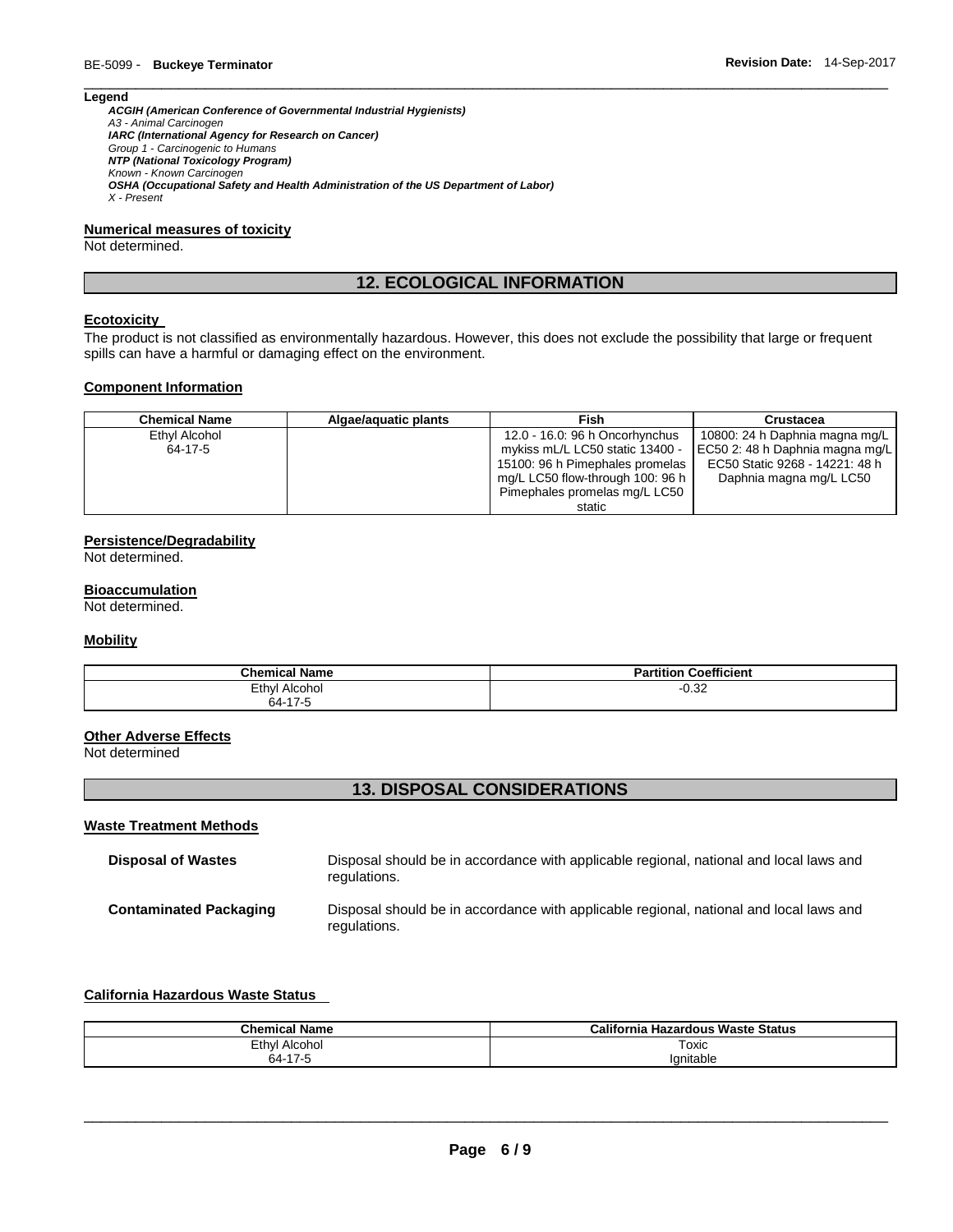#### **Legend**

*ACGIH (American Conference of Governmental Industrial Hygienists) A3 - Animal Carcinogen IARC (International Agency for Research on Cancer) Group 1 - Carcinogenic to Humans NTP (National Toxicology Program) Known - Known Carcinogen OSHA (Occupational Safety and Health Administration of the US Department of Labor) X - Present* 

#### **Numerical measures of toxicity**

Not determined.

# **12. ECOLOGICAL INFORMATION**

\_\_\_\_\_\_\_\_\_\_\_\_\_\_\_\_\_\_\_\_\_\_\_\_\_\_\_\_\_\_\_\_\_\_\_\_\_\_\_\_\_\_\_\_\_\_\_\_\_\_\_\_\_\_\_\_\_\_\_\_\_\_\_\_\_\_\_\_\_\_\_\_\_\_\_\_\_\_\_\_\_\_\_\_\_\_\_\_\_\_\_\_\_

#### **Ecotoxicity**

The product is not classified as environmentally hazardous. However, this does not exclude the possibility that large or frequent spills can have a harmful or damaging effect on the environment.

#### **Component Information**

| <b>Chemical Name</b> | Algae/aguatic plants | <b>Fish</b>                      | Crustacea                       |
|----------------------|----------------------|----------------------------------|---------------------------------|
| Ethyl Alcohol        |                      | 12.0 - 16.0: 96 h Oncorhynchus   | 10800: 24 h Daphnia magna mg/L  |
| 64-17-5              |                      | mykiss mL/L LC50 static 13400 -  | EC50 2: 48 h Daphnia magna mg/L |
|                      |                      | 15100: 96 h Pimephales promelas  | EC50 Static 9268 - 14221: 48 h  |
|                      |                      | mg/L LC50 flow-through 100: 96 h | Daphnia magna mg/L LC50         |
|                      |                      | Pimephales promelas mg/L LC50    |                                 |
|                      |                      | static                           |                                 |

#### **Persistence/Degradability**

Not determined.

#### **Bioaccumulation**

Not determined.

#### **Mobility**

| <b>Chemical Name</b> | <b>Partition Coefficient</b> |
|----------------------|------------------------------|
| Ethyl<br>Alcohol     | 0.25<br>-∪.ა∠                |
| 64-17-5<br>~⊶        |                              |

# **Other Adverse Effects**

Not determined

# **13. DISPOSAL CONSIDERATIONS**

#### **Waste Treatment Methods**

| <b>Disposal of Wastes</b>     | Disposal should be in accordance with applicable regional, national and local laws and<br>regulations. |
|-------------------------------|--------------------------------------------------------------------------------------------------------|
| <b>Contaminated Packaging</b> | Disposal should be in accordance with applicable regional, national and local laws and<br>regulations. |

# **California Hazardous Waste Status**

| <b>Chemical Name</b>      | California<br>ا Hazardous Waste Status |
|---------------------------|----------------------------------------|
| Ethyl<br>Alcohol          | Toxic                                  |
| $\rightarrow$<br>64-<br>. | lanitable                              |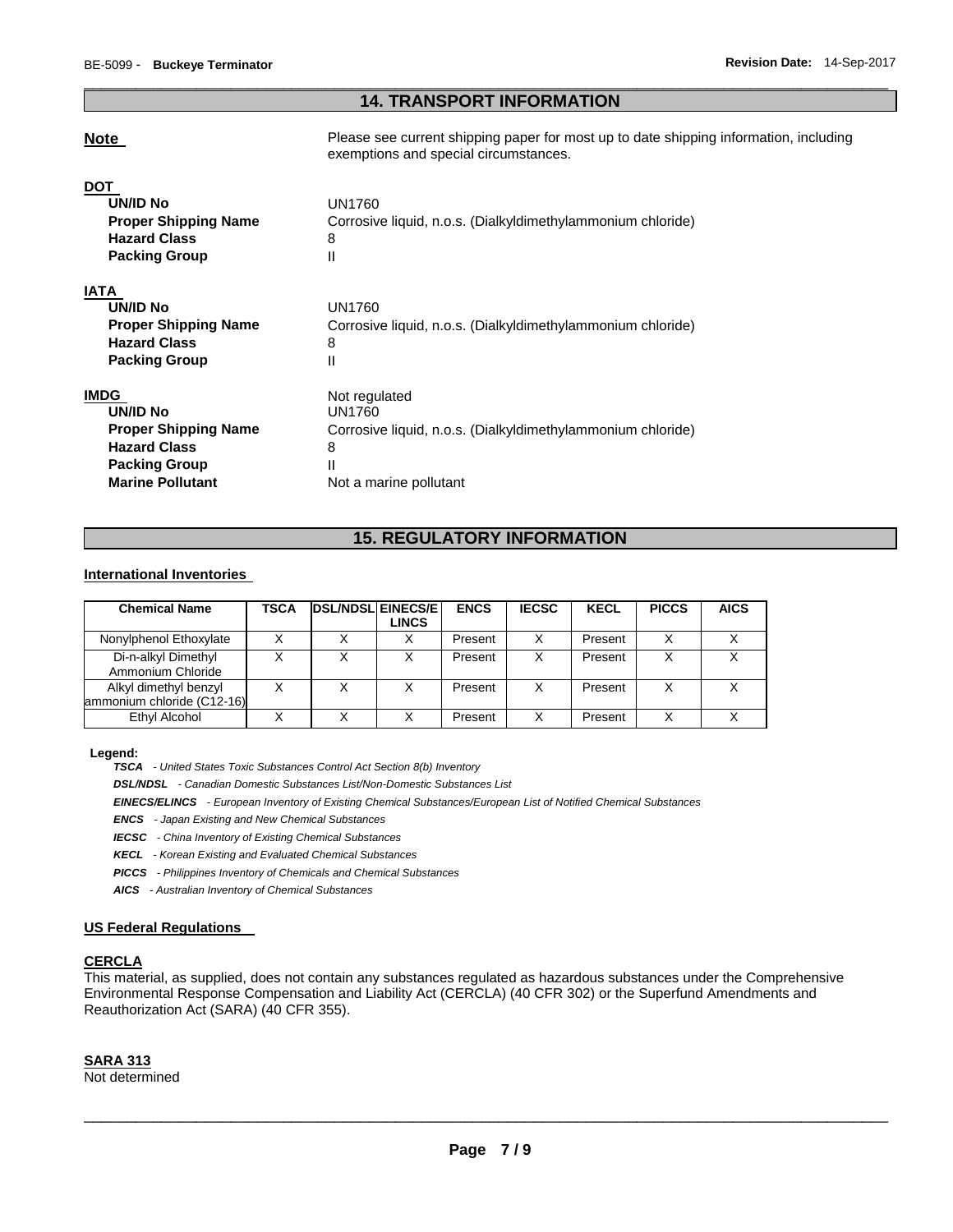# \_\_\_\_\_\_\_\_\_\_\_\_\_\_\_\_\_\_\_\_\_\_\_\_\_\_\_\_\_\_\_\_\_\_\_\_\_\_\_\_\_\_\_\_\_\_\_\_\_\_\_\_\_\_\_\_\_\_\_\_\_\_\_\_\_\_\_\_\_\_\_\_\_\_\_\_\_\_\_\_\_\_\_\_\_\_\_\_\_\_\_\_\_ **14. TRANSPORT INFORMATION**

**Note Please see current shipping paper for most up to date shipping information, including** exemptions and special circumstances.

| <b>DOT</b>                  |                                                             |
|-----------------------------|-------------------------------------------------------------|
| <b>UN/ID No</b>             | UN1760                                                      |
| <b>Proper Shipping Name</b> | Corrosive liquid, n.o.s. (Dialkyldimethylammonium chloride) |
| <b>Hazard Class</b>         | 8                                                           |
| <b>Packing Group</b>        | $\mathsf{I}$                                                |
| IATA                        |                                                             |
| UN/ID No                    | UN1760                                                      |
| <b>Proper Shipping Name</b> | Corrosive liquid, n.o.s. (Dialkyldimethylammonium chloride) |
| <b>Hazard Class</b>         | 8                                                           |
| <b>Packing Group</b>        | Ш                                                           |
| <b>IMDG</b>                 | Not regulated                                               |
| UN/ID No                    | UN1760                                                      |
| <b>Proper Shipping Name</b> | Corrosive liquid, n.o.s. (Dialkyldimethylammonium chloride) |
| <b>Hazard Class</b>         | 8                                                           |
| <b>Packing Group</b>        | Ш                                                           |
| <b>Marine Pollutant</b>     | Not a marine pollutant                                      |
|                             |                                                             |

# **15. REGULATORY INFORMATION**

#### **International Inventories**

| <b>Chemical Name</b>                                | TSCA | <b>DSL/NDSL EINECS/E</b> | <b>LINCS</b> | <b>ENCS</b> | <b>IECSC</b> | <b>KECL</b> | <b>PICCS</b> | <b>AICS</b> |
|-----------------------------------------------------|------|--------------------------|--------------|-------------|--------------|-------------|--------------|-------------|
| Nonylphenol Ethoxylate                              |      |                          |              | Present     | x            | Present     | Χ            |             |
| Di-n-alkyl Dimethyl<br>Ammonium Chloride            |      | х                        |              | Present     | х            | Present     | Χ            |             |
| Alkyl dimethyl benzyl<br>ammonium chloride (C12-16) |      |                          |              | Present     | X            | Present     | Χ            |             |
| Ethyl Alcohol                                       |      |                          |              | Present     | х            | Present     | X            |             |

#### **Legend:**

*TSCA - United States Toxic Substances Control Act Section 8(b) Inventory* 

*DSL/NDSL - Canadian Domestic Substances List/Non-Domestic Substances List* 

*EINECS/ELINCS - European Inventory of Existing Chemical Substances/European List of Notified Chemical Substances* 

*ENCS - Japan Existing and New Chemical Substances* 

*IECSC - China Inventory of Existing Chemical Substances* 

*KECL - Korean Existing and Evaluated Chemical Substances* 

*PICCS - Philippines Inventory of Chemicals and Chemical Substances* 

*AICS - Australian Inventory of Chemical Substances* 

#### **US Federal Regulations**

# **CERCLA**

This material, as supplied, does not contain any substances regulated as hazardous substances under the Comprehensive Environmental Response Compensation and Liability Act (CERCLA) (40 CFR 302) or the Superfund Amendments and Reauthorization Act (SARA) (40 CFR 355).

#### **SARA 313**

Not determined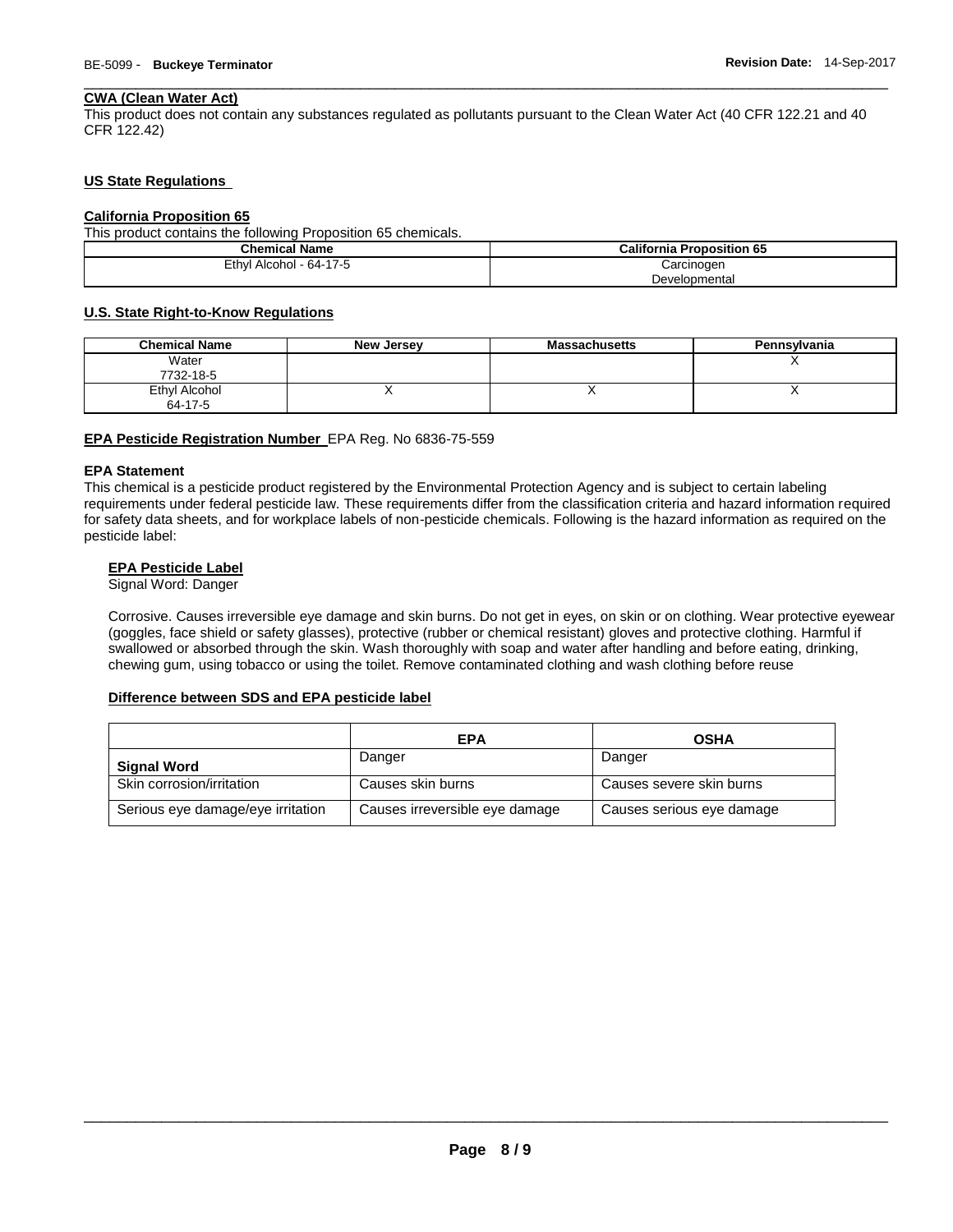#### **CWA (Clean Water Act)**

This product does not contain any substances regulated as pollutants pursuant to the Clean Water Act (40 CFR 122.21 and 40 CFR 122.42)

\_\_\_\_\_\_\_\_\_\_\_\_\_\_\_\_\_\_\_\_\_\_\_\_\_\_\_\_\_\_\_\_\_\_\_\_\_\_\_\_\_\_\_\_\_\_\_\_\_\_\_\_\_\_\_\_\_\_\_\_\_\_\_\_\_\_\_\_\_\_\_\_\_\_\_\_\_\_\_\_\_\_\_\_\_\_\_\_\_\_\_\_\_

#### **US State Regulations**

#### **California Proposition 65**

This product contains the following Proposition 65 chemicals.

| <b>Chemical Name</b>    | <b>California Proposition 65</b> |
|-------------------------|----------------------------------|
| Ethyl Alcohol - 64-17-5 | Carcinogen                       |
|                         | Developmental                    |

#### **U.S. State Right-to-Know Regulations**

| <b>Chemical Name</b>     | New Jersey | <b>Massachusetts</b>     | Pennsvlvania |
|--------------------------|------------|--------------------------|--------------|
| Water<br>7732-18-5       |            |                          |              |
| Ethyl Alcohol<br>64-17-5 |            | $\overline{\phantom{a}}$ |              |

### **EPA Pesticide Registration Number** EPA Reg. No 6836-75-559

#### **EPA Statement**

This chemical is a pesticide product registered by the Environmental Protection Agency and is subject to certain labeling requirements under federal pesticide law. These requirements differ from the classification criteria and hazard information required for safety data sheets, and for workplace labels of non-pesticide chemicals. Following is the hazard information as required on the pesticide label:

# **EPA Pesticide Label**

Signal Word: Danger

Corrosive. Causes irreversible eye damage and skin burns. Do not get in eyes, on skin or on clothing. Wear protective eyewear (goggles, face shield or safety glasses), protective (rubber or chemical resistant) gloves and protective clothing. Harmful if swallowed or absorbed through the skin. Wash thoroughly with soap and water after handling and before eating, drinking, chewing gum, using tobacco or using the toilet. Remove contaminated clothing and wash clothing before reuse

#### **Difference between SDS and EPA pesticide label**

|                                   | EPA                            | <b>OSHA</b>               |
|-----------------------------------|--------------------------------|---------------------------|
| <b>Signal Word</b>                | Danger                         | Danger                    |
| Skin corrosion/irritation         | Causes skin burns              | Causes severe skin burns  |
| Serious eye damage/eye irritation | Causes irreversible eye damage | Causes serious eye damage |